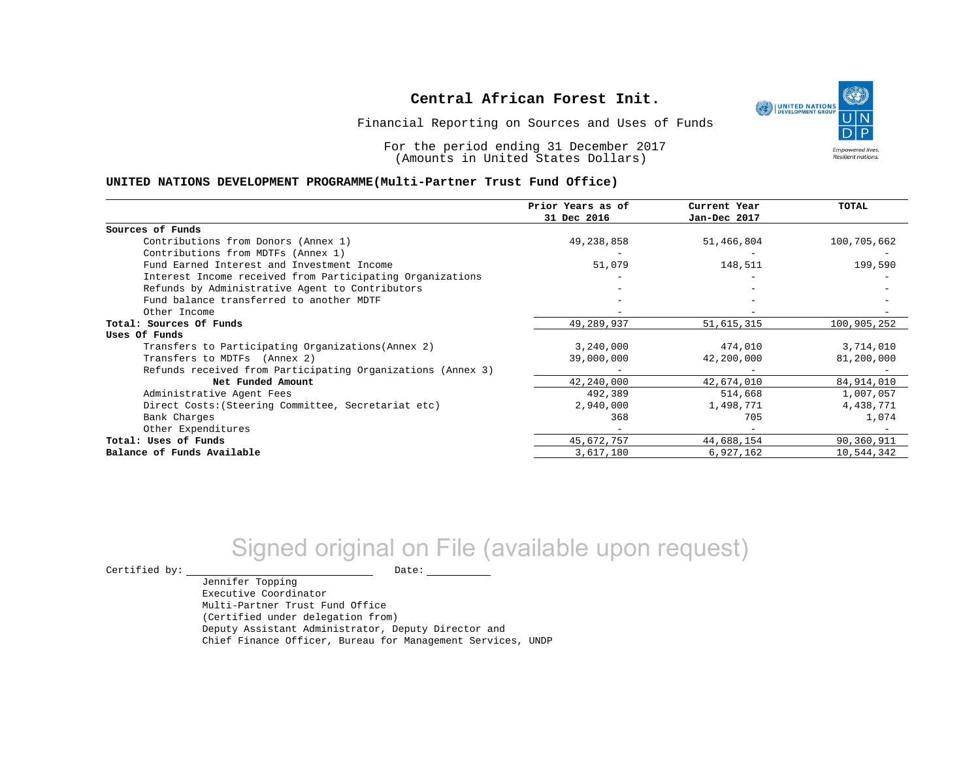

Financial Reporting on Sources and Uses of Funds

For the period ending 31 December 2017 (Amounts in United States Dollars)

#### **UNITED NATIONS DEVELOPMENT PROGRAMME(Multi-Partner Trust Fund Office)**

|                                                             | Prior Years as of<br>31 Dec 2016 | Current Year<br>Jan-Dec 2017 | <b>TOTAL</b> |
|-------------------------------------------------------------|----------------------------------|------------------------------|--------------|
| Sources of Funds                                            |                                  |                              |              |
| Contributions from Donors (Annex 1)                         | 49,238,858                       | 51,466,804                   | 100,705,662  |
| Contributions from MDTFs (Annex 1)                          |                                  |                              |              |
| Fund Earned Interest and Investment Income                  | 51,079                           | 148,511                      | 199,590      |
| Interest Income received from Participating Organizations   |                                  |                              |              |
| Refunds by Administrative Agent to Contributors             |                                  |                              |              |
| Fund balance transferred to another MDTF                    |                                  |                              |              |
| Other Income                                                |                                  |                              |              |
| Total: Sources Of Funds                                     | 49,289,937                       | 51,615,315                   | 100,905,252  |
| Uses Of Funds                                               |                                  |                              |              |
| Transfers to Participating Organizations (Annex 2)          | 3,240,000                        | 474,010                      | 3,714,010    |
| Transfers to MDTFs (Annex 2)                                | 39,000,000                       | 42,200,000                   | 81,200,000   |
| Refunds received from Participating Organizations (Annex 3) |                                  |                              |              |
| Net Funded Amount                                           | 42,240,000                       | 42,674,010                   | 84, 914, 010 |
| Administrative Agent Fees                                   | 492,389                          | 514,668                      | 1,007,057    |
| Direct Costs: (Steering Committee, Secretariat etc)         | 2,940,000                        | 1,498,771                    | 4,438,771    |
| Bank Charges                                                | 368                              | 705                          | 1,074        |
| Other Expenditures                                          |                                  |                              |              |
| Total: Uses of Funds                                        | 45,672,757                       | 44,688,154                   | 90,360,911   |
| Balance of Funds Available                                  | 3,617,180                        | 6,927,162                    | 10,544,342   |

# Signed original on File (available upon request)

Jennifer Topping

 $\begin{picture}(180,180)(0,0) \put(0,0){\vector(1,0){180}} \put(15,0){\vector(1,0){180}} \put(15,0){\vector(1,0){180}} \put(15,0){\vector(1,0){180}} \put(15,0){\vector(1,0){180}} \put(15,0){\vector(1,0){180}} \put(15,0){\vector(1,0){180}} \put(15,0){\vector(1,0){180}} \put(15,0){\vector(1,0){180}} \put(15,0){\vector(1,0){180}} \put(15,0){\vector(1,0$ 

Executive Coordinator Multi-Partner Trust Fund Office (Certified under delegation from) Deputy Assistant Administrator, Deputy Director and Chief Finance Officer, Bureau for Management Services, UNDP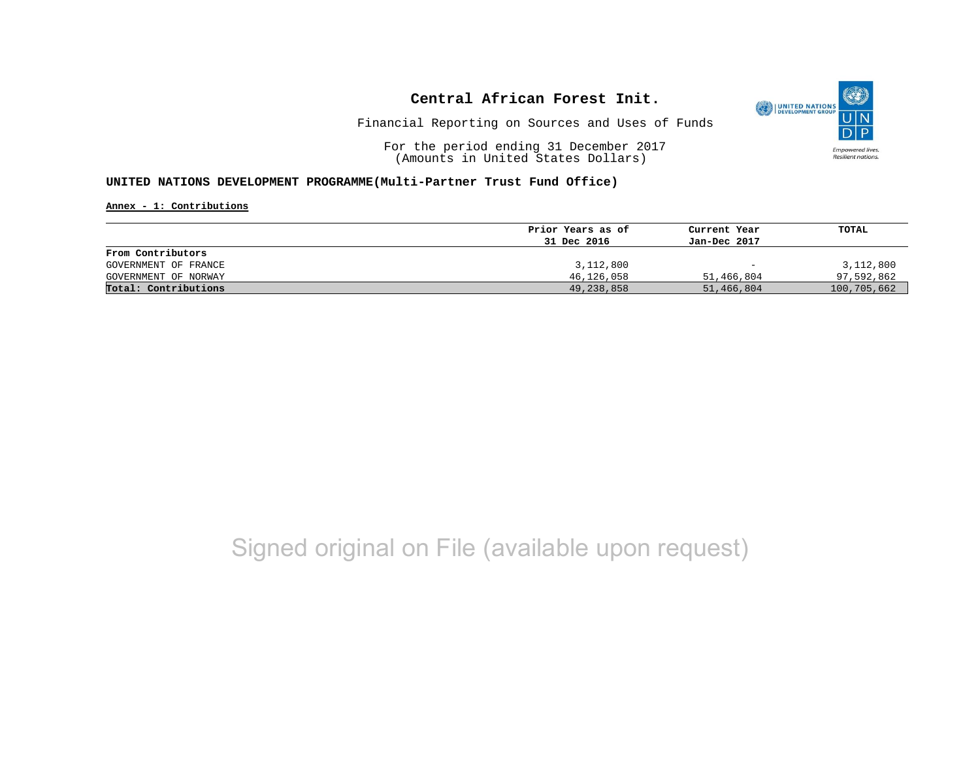

Financial Reporting on Sources and Uses of Funds

For the period ending 31 December 2017 (Amounts in United States Dollars)

### **UNITED NATIONS DEVELOPMENT PROGRAMME(Multi-Partner Trust Fund Office)**

**Annex - 1: Contributions**

|                      | Prior Years as of | Current Year             | TOTAL       |
|----------------------|-------------------|--------------------------|-------------|
|                      | 31 Dec 2016       | Jan-Dec 2017             |             |
| From Contributors    |                   |                          |             |
| GOVERNMENT OF FRANCE | 3,112,800         | $\overline{\phantom{0}}$ | 3,112,800   |
| GOVERNMENT OF NORWAY | 46,126,058        | 51,466,804               | 97,592,862  |
| Total: Contributions | 49,238,858        | 51,466,804               | 100,705,662 |

# Signed original on File (available upon request)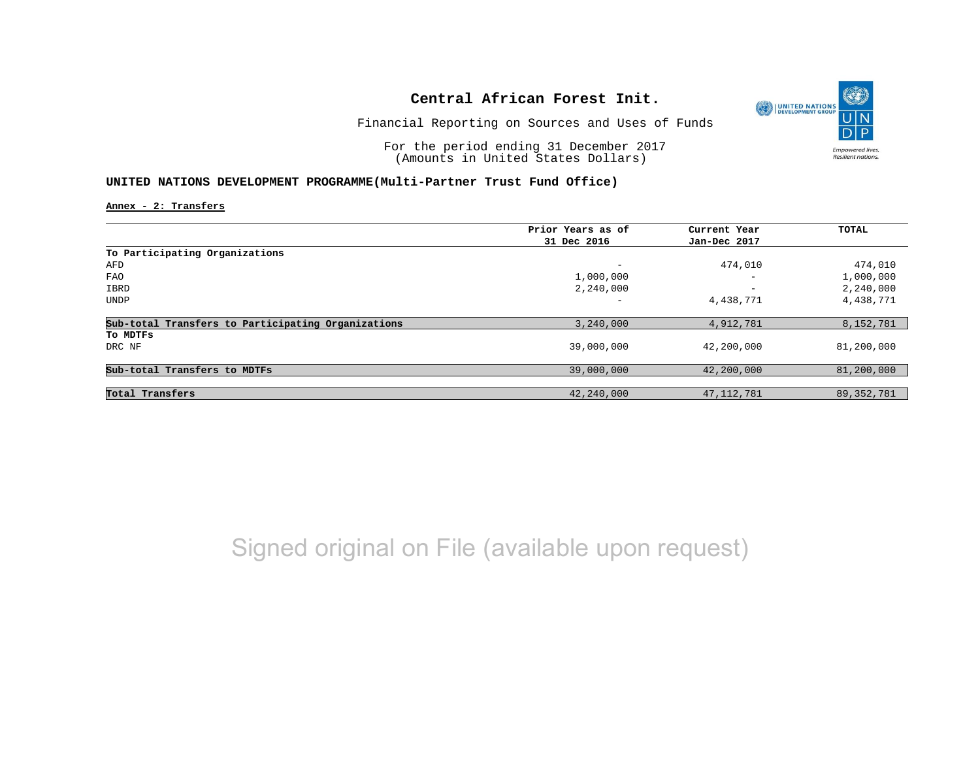

Financial Reporting on Sources and Uses of Funds

For the period ending 31 December 2017 (Amounts in United States Dollars)

## **UNITED NATIONS DEVELOPMENT PROGRAMME(Multi-Partner Trust Fund Office)**

**Annex - 2: Transfers**

|                                                    | Prior Years as of | Current Year             | TOTAL        |
|----------------------------------------------------|-------------------|--------------------------|--------------|
|                                                    | 31 Dec 2016       | Jan-Dec 2017             |              |
| To Participating Organizations                     |                   |                          |              |
| AFD                                                | -                 | 474,010                  | 474,010      |
| <b>FAO</b>                                         | 1,000,000         | $\overline{\phantom{0}}$ | 1,000,000    |
| IBRD                                               | 2,240,000         | $\overline{\phantom{0}}$ | 2,240,000    |
| <b>UNDP</b>                                        | -                 | 4,438,771                | 4,438,771    |
| Sub-total Transfers to Participating Organizations | 3,240,000         | 4,912,781                | 8,152,781    |
| To MDTFs                                           |                   |                          |              |
| DRC NF                                             | 39,000,000        | 42,200,000               | 81,200,000   |
| Sub-total Transfers to MDTFs                       | 39,000,000        | 42,200,000               | 81,200,000   |
|                                                    |                   |                          |              |
| Total Transfers                                    | 42,240,000        | 47, 112, 781             | 89, 352, 781 |

Signed original on File (available upon request)